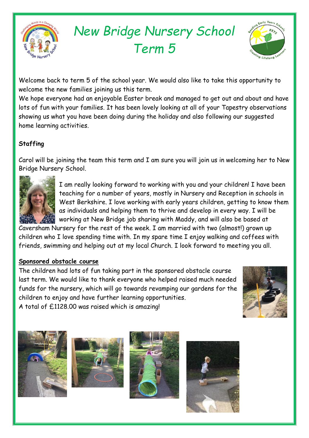

# *New Bridge Nursery School Term 5*



Welcome back to term 5 of the school year. We would also like to take this opportunity to welcome the new families joining us this term.

We hope everyone had an enjoyable Easter break and managed to get out and about and have lots of fun with your families. It has been lovely looking at all of your Tapestry observations showing us what you have been doing during the holiday and also following our suggested home learning activities.

## **Staffing**

Carol will be joining the team this term and I am sure you will join us in welcoming her to New Bridge Nursery School.



I am really looking forward to working with you and your children! I have been teaching for a number of years, mostly in Nursery and Reception in schools in West Berkshire. I love working with early years children, getting to know them as individuals and helping them to thrive and develop in every way. I will be working at New Bridge job sharing with Maddy, and will also be based at

Caversham Nursery for the rest of the week. I am married with two (almost!) grown up children who I love spending time with. In my spare time I enjoy walking and coffees with friends, swimming and helping out at my local Church. I look forward to meeting you all.

## **Sponsored obstacle course**

The children had lots of fun taking part in the sponsored obstacle course last term. We would like to thank everyone who helped raised much needed funds for the nursery, which will go towards revamping our gardens for the children to enjoy and have further learning opportunities. A total of £1128.00 was raised which is amazing!









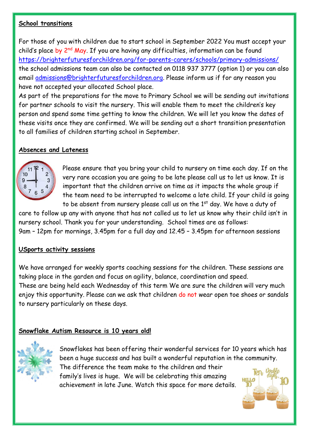## **School transitions**

For those of you with children due to start school in September 2022 You must accept your child's place by 2<sup>nd</sup> May. If you are having any difficulties, information can be found <https://brighterfuturesforchildren.org/for-parents-carers/schools/primary-admissions/> the school admissions team can also be contacted on 0118 937 3777 (option 1) or you can also email [admissions@brighterfuturesforchildren.org.](mailto:admissions@brighterfuturesforchildren.org) Please inform us if for any reason you have not accepted your allocated School place.

As part of the preparations for the move to Primary School we will be sending out invitations for partner schools to visit the nursery. This will enable them to meet the children's key person and spend some time getting to know the children. We will let you know the dates of these visits once they are confirmed. We will be sending out a short transition presentation to all families of children starting school in September.

## **Absences and Lateness**



Please ensure that you bring your child to nursery on time each day. If on the very rare occasion you are going to be late please call us to let us know. It is important that the children arrive on time as it impacts the whole group if the team need to be interrupted to welcome a late child. If your child is going to be absent from nursery please call us on the 1<sup>st</sup> day. We have a duty of

care to follow up any with anyone that has not called us to let us know why their child isn't in nursery school. Thank you for your understanding. School times are as follows: 9am – 12pm for mornings, 3.45pm for a full day and 12.45 – 3.45pm for afternoon sessions

## **USports activity sessions**

We have arranged for weekly sports coaching sessions for the children. These sessions are taking place in the garden and focus on agility, balance, coordination and speed. These are being held each Wednesday of this term We are sure the children will very much enjoy this opportunity. Please can we ask that children do not wear open toe shoes or sandals to nursery particularly on these days.

## **Snowflake Autism Resource is 10 years old!**



Snowflakes has been offering their wonderful services for 10 years which has been a huge success and has built a wonderful reputation in the community. The difference the team make to the children and their family's lives is huge. We will be celebrating this amazing achievement in late June. Watch this space for more details.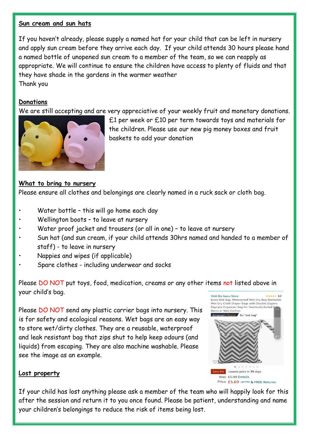#### **Sun cream and sun hats**

If you haven't already, please supply a named hat for your child that can be left in nursery and apply sun cream before they arrive each day. If your child attends 30 hours please hand a named bottle of unopened sun cream to a member of the team, so we can reapply as appropriate. We will continue to ensure the children have access to plenty of fluids and that they have shade in the gardens in the warmer weather Thank you

## **Donations**

We are still accepting and are very appreciative of your weekly fruit and monetary donations.



£1 per week or £10 per term towards toys and materials for the children. Please use our new pig money boxes and fruit baskets to add your donation

## **What to bring to nursery**

Please ensure all clothes and belongings are clearly named in a ruck sack or cloth bag.

- Water bottle this will go home each day
- Wellington boots to leave at nursery
- Water proof jacket and trousers (or all in one) to leave at nursery
- Sun hat (and sun cream, if your child attends 30hrs named and handed to a member of staff) - to leave in nursery
- Nappies and wipes (if applicable)
- Spare clothes including underwear and socks

Please DO NOT put toys, food, medication, creams or any other items not listed above in your child's bag.

Please DO NOT send any plastic carrier bags into nursery. This is for safety and ecological reasons. Wet bags are an easy way to store wet/dirty clothes. They are a reusable, waterproof and leak resistant bag that zips shut to help keep odours (and liquids) from escaping. They are also machine washable. Please see the image as an example.



## **Lost property**

If your child has lost anything please ask a member of the team who will happily look for this after the session and return it to you once found. Please be patient, understanding and name your children's belongings to reduce the risk of items being lost.